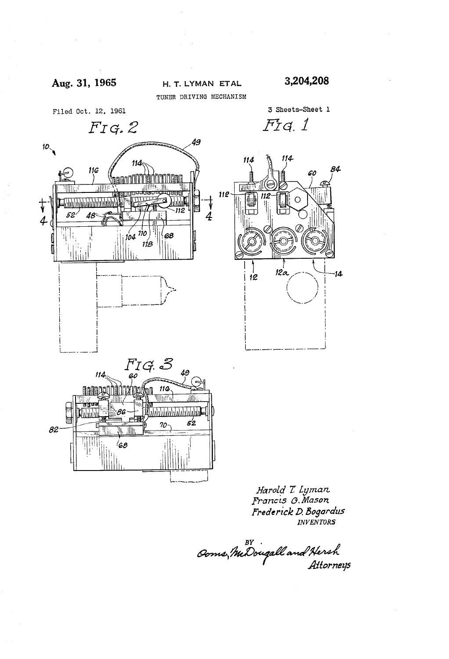

60

84

 $14$ 

3 Sheets-Sheet 1

Fig. 1

114

 $\circ$ 

114

皿

112

TUNER DRIVING MECHANISM









Harold T. Lyman<br>Francis G.Mason Frederick D. Bogardus

BY .<br>Ooms, McDougall and Hersh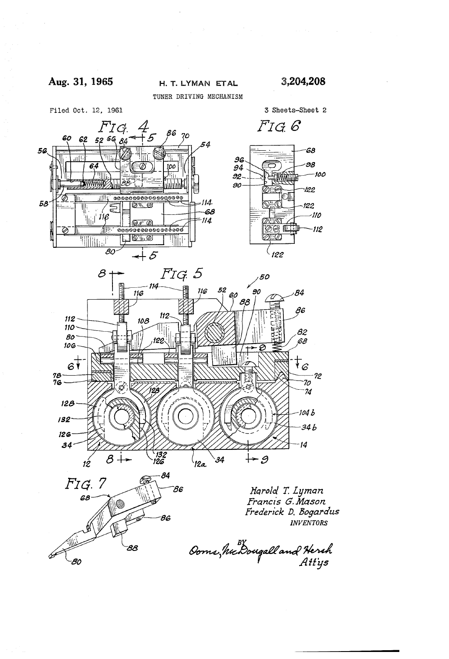## Aug. 31, 1965 H. T. LYMAN ETAL 3,204,208

TUNER DRÍVING MECHANISM



3 Sheets-Sheet 2





Harold T. Lyman Francis G. Mason Frederick D. Bogardus INVENTORS

Ooms, hie Dougall and Herch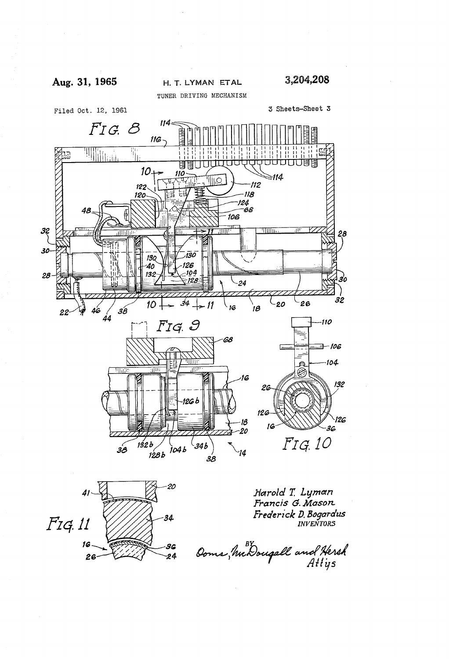

Filed Oct. 12, 1961

TUNER DRIVING MECHANISM

3 Sheets-Sheet 3





Harold T. Lyman Francis G. Mason Frederick D. Bogardus

Doms, McDougall and Hersh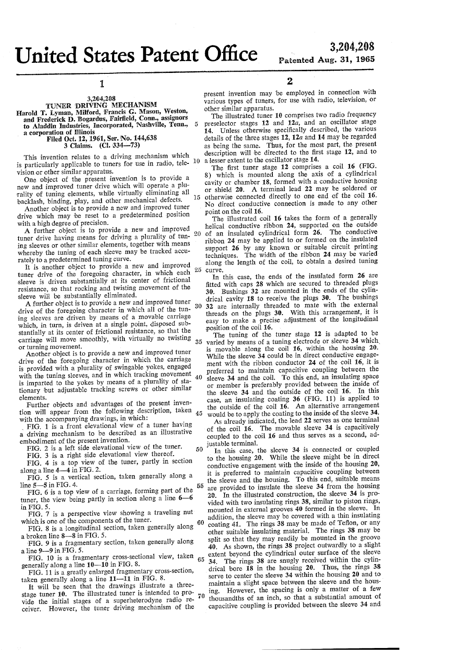# United States Patent Offic ICC

 $\overline{5}$ 

15

50

55

### l

# 3,264,208 TUNER DRIVING MECHANISM

Harold T. Lyman, Milford, Francis G. Mason, Weston,

and Frederick D. Bogardus, Fairfield, Conn., assignors to Aladdin Industries, Incorporated, Nashville, Teun., a corporation of Illinois

Filed Oct. 12, 1961, Ser. No. 144,638 3 Claims. (Cl. 334-73)

This invention relates to a driving mechanism which is particularly applicable to tuners for use in radio, tele- 10

vision or other similar apparatus.<br>One object of the present invention is to provide a new and improved tuner drive which will operate a plurality of tuning elements, while virtually eliminating all backlash, binding, play, and other mechanical defects.

Another object is to provide a new and improved tuner drive which may be reset to a predetermined position with a high degree of precision.

A further object is to provide a new and improved tuner drive having means for driving a plurality of tun-<br>ing sleeves or other similar elements, together with means whereby the tuning of each sleeve may be tracked accurately to a predetermined tuning curve.

It is another object to provide a new and improved tuner drive of the foregoing character, in which each sleeve is driven substantially at its center of frictional resistance, so that rocking and twisting movement of the sleeve will be substantially eliminated. 25

A further object is to provide a new and improved tuner  $_{30}$ drive of the foregoing character in which all of the tuning sleeves are driven by means of a movable carriage which, in turn, is driven at a single point, disposed sub stantially at its center of frictional resistance, so that the carriage will move smoothly, with virtually no twisting or turning movement. 35

Another object is to provide a new and improved tuner drive of the foregoing character in which the carriage is provided with a plurality of swingable yokes, engaged with the tuning sleeves, and in which tracking movement is imparted to the yokes by means of a plurality of sta tionary but adjustable tracking screws or other similar elements. 40

Further objects and advantages of the present inven tion will appear from the following description, taken with the accompanying drawings, in which: 45

FIG. 1 is a front elevational view of a tuner having a driving mechanism to be described as an illustrative embodiment of the present invention.

FIG. 2 is a left side elevational view of the tuner.

FIG. 3 is a right side elevational view thereof.

FIG. 4 is a top view of the tuner, partly in section along a line 4-4 in FIG. 2.

FIG. 5 is a vertical section, taken generally along a line 5-5 in FIG. 4.

FIG. 6 is a top view of a carriage, forming part of the tuner, the view being partly in section along a line  $6-6$ in FIG. 5

FIG. 7 is a perspective view showing a traveling nut which is one of the components of the tuner.

FIG. 8 is a longitudinal section, taken generally along a broken line 8-8 in FIG. 5.

FIG. 9 is a fragmentary section, taken generally along a line 9-9 in FIG. 5.

FIG. 10 is a fragmentary cross-sectional view, taken  $65$ generally along a line 10-10 in FIG. 8.

FIG. 11 is a greatly enlarged fragmentary cross-section, taken generally along a line  $11-11$  in FIG. 8.

It will be seen that the drawings illustrate a threestage tuner 10. The illustrated tuner is intended to pro vide the initial stages of a superheterodyne radio re ceiver. However, the tuner driving mechanism of the Z

.present invention may be employed in connection with various types of tuners, for use with radio, television, or other similar apparatus.

The illustrated tuner 10 comprises two radio frequency preselector stages 12 and 12a, and an oscillator stage 14. Unless otherwise specifically described, the various details of the three stages  $12$ ,  $12a$  and  $14$  may be regarded as being the same. Thus, for the most part, the present description will be directed to the first stage 12, and to a lesser extent to the oscillator stage 14.

The first tuner stage 12 comprises a coil 16 (FIG. 8) which is mounted along the axis of a cylindrical cavity or chamber 18, formed with a conductive housing or shield 20. A terminal lead 22 may be soldered or otherwise connected directly to one end of the coil 16. No direct conductive connection is made to any other point on the coil 16.

The illustrated coil 16 takes the form of a generally helical conductive ribbon  $24$ , supported on the outside of an insulated cylindrical form  $26$ . The conductive of an insulated cylindrical form  $26$ . ribbon 24 may be applied to or formed on the insulated support 26 by any known or suitable circuit printing techniques. The width of the ribbon 24 may be varied along the length of the coil, to obtain a desired tuning curve.

In this case, the ends of the insulated form 26 are fitted with caps 28 which are secured to threaded plugs 30. Bushings 32 are mounted in the ends of the cylin drical cavity 18 to receive the plugs 30. The bushings 32 are internally threaded to mate with the external threads on the plugs 30. With this arrangement, it is easy to make a precise adjustment of the longitudinal position of the coil 16.

The tuning of the tuner stage 12 is adapted to be varied by means of a tuning electrode or sleeve 34 which is movable along the coil 16, within the housing 20. While the sleeve 34 could be in direct conductive engagement with the ribbon conductor 24 of the coil 16, it is preferred to maintain capacitive coupling 'between the sleeve 34 and the coil. To this end, an insulating space or member is preferably provided between the inside of the sleeve 34 and the outside of the coil 16. In this case, an insulating coating 36 (FIG. 11) is applied to the outside of the coil 16. An alternative arrangement would be to apply the coating to the inside of the sleeve 34.

As already indicated, the lead 22 serves as one terminal of the coil 16. The movable sleeve 34 is capacitively coupled to the coil 16 and thus serves as a second, ad justable terminal.

60 70 In this case, the sleeve 34 is connected or coupled to the housing 20. While the sleeve might be in direct conductive engagement with the inside of the housing 20, it is preferred to maintain capacitive coupling between the sleeve and the housing. To this end, suitable means are provided to insulate the sleeve 34 from the housing  $20.$  In the illustrated construction, the sleeve  $34$  is provided with two insulating rings 38, similar to piston rings, mounted in external grooves 40 formed in the sleeve. In addition, the sleeve may be covered with a thin insulating coating 41. The rings 38 may be made of Teflon, or any other suitable insulating material. The rings 38 may be split so that they may readily be mounted in the groove 40. As shown, the rings 38 project outwardly to a slight extent beyond the cylindrical outer surface of the sleeve 34. The rings 38 are snugly received within the cylindrical bore 18 in the housing  $20$ . Thus, the rings 38 serve to center the sleeve 34 within the housing 20 and to maintain a slight space between the sleeve and the housing. However, the spacing is only a matter of a few thousandths of an inch, so that a substantial amount of capacitive coupling is provided between the sleeve 34 and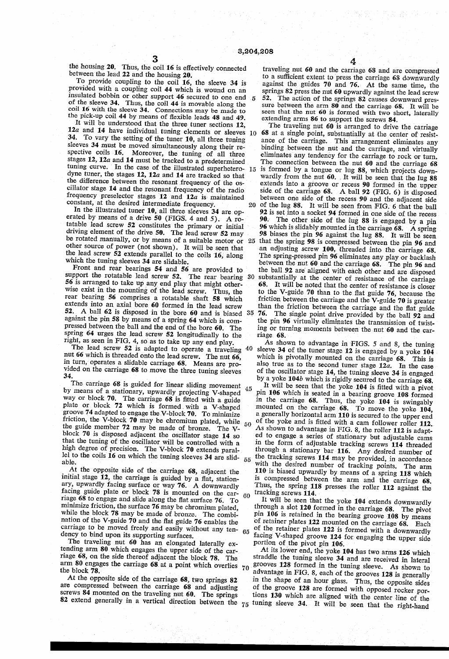the housing 20. Thus, the coil 16 is effectively connected between the lead 22 and the housing 20.

To provide coupling to the coil 16, the sleeve 34 is provided with a coupling coil 44 which is wound on an insulated bobbin or other support 46 secured to one end  $5 \frac{1}{2}$ of the sleeve 34. Thus, the coil 44 is movable along the coil 16 with the sleeve 34. Connections may be made to the pick-up coil 44 by means of ñexible leads 48 and 49.

It will be understood that the three tuner sections 12, 12a and 14 have individual tuning elements or sleeves 10 34. To vary the setting of the tuner 10, all three tuning sleeves 34 must be moved simultaneously along their re spective coils 16. Moreover, the tuning of all three stages 12, 12a and 14 must be tracked to a predetermined tuning curve. In the case of the illustrated superhetero  $15$ dyne tuner, the stages 12, 12a and 14 are tracked so that the difference between the resonant frequency of the os cillator stage 14 and the resonant frequency of the radio frequency preselector stages  $12$  and  $12a$  is maintained constant, at the desired intermediate frequency.  $20$ 

In the illustrated tuner 10, all three sleeves 34 are op erated by means of a drive 50 (FIGS. 4 and 5). A ro tatable lead screw 52 constitutes the primary or initial driving element of the drive 50. The lead screw 52 may be rotated manually, or by means of a suitable motor or other source of power (not shown). It will be seen that the lead screw 52 extends parallel to the coils 16, along which the tuning sleeves 34 are slidable.

Front and rear bearings 54 and 56 are provided to support the rotatable lead screw 52. The rear bearing 56 is arranged to take up any end play that might other rear bearing 56 comprises a rotatable shaft 58 which extends into an axial bore 60 formed in the lead screw 52. A ball  $62$  is disposed in the bore  $60$  and is biased  $35$ against the pin 58 by means of a spring 64 which is com pressed between the ball and the end of the bore 60. The spring 64 urges the lead screw 52 longitudinally to the right, as seen in FIG. 4, so as to take up any end play. 30

The lead screw  $52$  is adapted to operate a traveling  $40$ nut 66 which is threaded onto the lead screw. The nut 66, in turn, operates a slidable carriage 68. Means are provided on the carriage 68 to move the three tuning sleeves 34.

The carriage 68 is guided for linear sliding movement by means of a stationary, upwardly projecting V-shaped by means of a stationary, upwardly projecting V-shaped way or block 70. The carriage 68 is fitted with a guide plate or block 72 which is formed with a V-shaped groove 74 adapted to engage the V-block 70. To minimize friction, the  $\tilde{V}$ -block 70 may be chromium plated, while the guide member 72 may be made of bronze. The V block 70 is disposed adjacent the oscillator stage 14 so that the tuning of the oscillator will be controlled with a high degree of precision. The V-block 70 extends parallel to the coils  $16$  on which the tuning sleeves  $34$  are slidable. 45 50

At the opposite side of the carriage 68, adjacent the initial stage 12, the carriage is guided by a ñat, station ary, upwardly facing surface or way 76. A downwardly facing guide plate or block'78 is mounted on the car riage 68 to engage and slide along the flat surface 76. To minimize friction, the surface  $76$  may be chromium plated, while the block 78 may be made of bronze. The combi nation of the V-guide 70 and the dat guide 76 enables the carriage to be moved freely and easily without any ten-  $65$ <br>dency to bind upon its supporting surfaces dency to bind upon its supporting surfaces. 60

The traveling nut 60 has an elongated laterally extending arm 80 which engages the upper side of the carriage 68, on the side thereof adjacent the block 78. The riage 68, on the side thereof adjacent the block 78. The arm 80 engages the carriage 68 at a point which overlies  $70$  the block 78.

At the opposite side of the carriage 68, two springs 82 are compressed between the carriage 68 and adjusting screws 84 mounted on the traveling nut 60. The springs

traveling nut 60 and the carriage 68 and are compressed to a sufficient extent to press the carriage 68 downwardly against the guides 70 and 76. At the same time, the springs 82 press the nut  $60$  upwardly against the lead screw 52. The action of the springs  $82$  causes downward pressure between the arm  $80$  and the carriage 68. It will be seen that the nut 60 is formed with two short, laterally extending arms 86 to support the screws 84.

25 The traveling nut 60 is arranged to drive the carriage 68 at a single point, substantially at the center of resistance of the carriage. This arrangement eliminates any binding between the nut and the carriage, and virtually eliminates any tendency for the carriage to rock or turn. The connection between the nut 60 and the carriage 68 is formed by a tongue or lug 88, which projects down wardly from the nut 60. It will be seen that the lug 88 extends into a groove or recess 90 formed in the upper side of the carriage 68. A ball 92 (FIG. 6) is disposed between one side of the recess 90 and the adjacent side of the lug 88. It will be seen from FIG. 6 that the ball 92 is set into a socket 94 formed in one side of the recess 90. The other side of the lug 88 is engaged by a pin 96 which is slidably mounted in the carriage 68. A spring that the spring 98 is compressed between the pin 96 and an adjusting screw 100, threaded into the carriage 68. The spring-pressed pin 96 eliminates any play or backlash between the nut 60 and the- carriage 68. The pin 96 and the ball 92 are aligned with each other and are disposed substantially at the center of resistance of the carriage 68. It will be noted that the center of resistance is closer to the V-guide 70 than to the ilat guide 76, because the friction between the carriage and the V-guide 70 is greater than the friction between the carriage and the flat guide<br>76. The single point drive provided by the hall 22 and The single point drive provided by the ball 92 and the pin 96 virtually eliminates the transmission of twist ing or turning moments between the nut 60 and the carriage 68.

As shown to advantage in FIGS. 5 and 8, the tuning sleeve 34 of the tuner stage 12 is engaged by a yoke 104 which is pivotally mounted on the carriage 68. This is also true as to the second tuner stage  $12a$ . In the case of the oscillator stage 14, the tuning sleeve 34 is engaged by a yoke 104b which is rigidly secured to the carriage 68.

55 It will be seen that the yoke 104 is fitted with a pivot pin 106 which is seated in a bearing groove 108 formed in the carriage 68. Thus, the yoke 104 is swingably mounted on the carriage 68. To move the yoke 104, a generally horizontal arm 110 is secured to the upper end of the yoke and is fitted with a cam follower roller 112. As shown to advantage in FIG. 8, the roller 112 is adapt ed to engage a series of stationary but adjustable cams in the form of adjustable tracking screws 114 threaded through a stationary bar-116. Any desired number of the tracking screws 114 may be provided, in accordance with the desired number of tracking points. The arm with the desired number of tracking points. The arm 110 is biased upwardly by means of a spring 118 which is compressed between the arm and the carriage 68. Thus, the spring 118 presses the roller 112 against the tracking screws 114.

It will be seen that the yoke 104 extends downwardly through a slot 120 formed in the carriage 68. The pivot pin 106 is retained in the bearing groove 108 by means of retainer plates 122 mounted on the carriage 68. Each of the retainer plates 122 is formed with a downwardly facing V-shaped groove 124 for engaging the upper side portion of the pivot pin 106.

 $\alpha$  extend generally in a vertical direction between the  $\tau_5$  tuning sleeve 34. It will be seen that the right-hand At its lower end, the yoke 104 has two arms 126 which straddle the tuning sleeve 34 and are received in lateral grooves 128- formed in the tuning sleeve. As shown to advantage in FIG. 8, each of the grooves 128 is generally in the shape of an hour glass. Thus, the opposite sides of the groove 128 are formed with opposed rocker portions 130 which are aligned with the center line of the

4 .  $\sim$